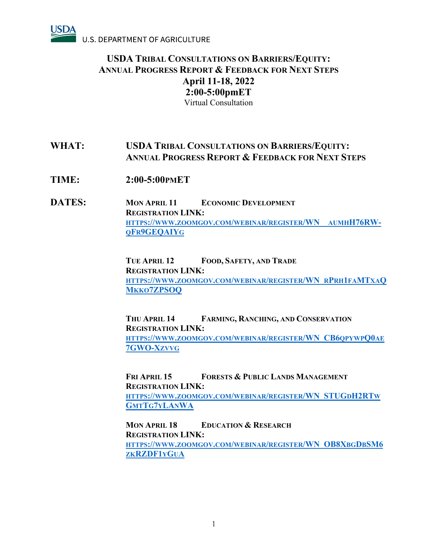

# **WHAT: USDA TRIBAL CONSULTATIONS ON BARRIERS/EQUITY: ANNUAL PROGRESS REPORT & FEEDBACK FOR NEXT STEPS**

- **TIME: 2:00-5:00PMET**
- **DATES: MON APRIL 11 ECONOMIC DEVELOPMENT REGISTRATION LINK: [HTTPS://WWW.ZOOMGOV.COM/WEBINAR/REGISTER/WN\\_\\_AUMHH76RW-](https://www.zoomgov.com/webinar/register/WN__aumhH76RW-qFr9GEQAIYg)[QFR9GEQAIYG](https://www.zoomgov.com/webinar/register/WN__aumhH76RW-qFr9GEQAIYg)**

**TUE APRIL 12 FOOD, SAFETY, AND TRADE REGISTRATION LINK: [HTTPS://WWW.ZOOMGOV.COM/WEBINAR/REGISTER/WN\\_RPRH1FAMTXAQ](https://www.zoomgov.com/webinar/register/WN_rPrh1faMTxaQMkko7ZPSOQ) [MKKO7ZPSOQ](https://www.zoomgov.com/webinar/register/WN_rPrh1faMTxaQMkko7ZPSOQ)**

**THU APRIL 14 FARMING, RANCHING, AND CONSERVATION REGISTRATION LINK: [HTTPS://WWW.ZOOMGOV.COM/WEBINAR/REGISTER/WN\\_CB6QPYWPQ0AE](https://www.zoomgov.com/webinar/register/WN_CB6qpywpQ0ae7GWO-Xzvvg) [7GWO-XZVVG](https://www.zoomgov.com/webinar/register/WN_CB6qpywpQ0ae7GWO-Xzvvg)**

**FRI APRIL 15 FORESTS & PUBLIC LANDS MANAGEMENT REGISTRATION LINK: [HTTPS://WWW.ZOOMGOV.COM/WEBINAR/REGISTER/WN\\_STUGDH2RTW](https://www.zoomgov.com/webinar/register/WN_STUGdH2RTwGmtTg7yLAnWA) [GMTTG7YLANWA](https://www.zoomgov.com/webinar/register/WN_STUGdH2RTwGmtTg7yLAnWA)**

**MON APRIL 18 EDUCATION & RESEARCH REGISTRATION LINK: [HTTPS://WWW.ZOOMGOV.COM/WEBINAR/REGISTER/WN\\_OB8XBGDBSM6](https://www.zoomgov.com/webinar/register/WN_OB8XbgDbSM6zkRZDF1yGuA) [ZKRZDF1YGUA](https://www.zoomgov.com/webinar/register/WN_OB8XbgDbSM6zkRZDF1yGuA)**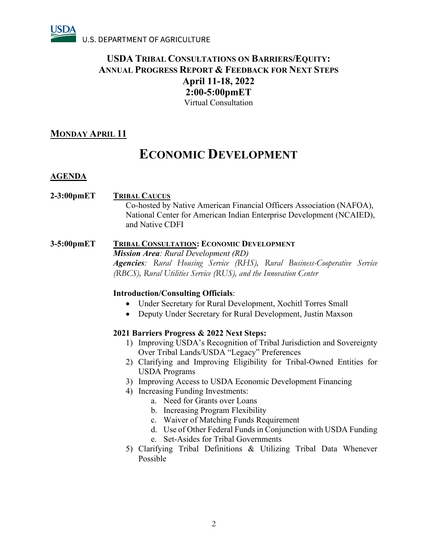

## **MONDAY APRIL 11**

# **ECONOMIC DEVELOPMENT**

### **AGENDA**

- **2-3:00pmET TRIBAL CAUCUS** Co-hosted by Native American Financial Officers Association (NAFOA), National Center for American Indian Enterprise Development (NCAIED), and Native CDFI
- **3-5:00pmET TRIBAL CONSULTATION: ECONOMIC DEVELOPMENT** *Mission Area: Rural Development (RD) Agencies: Rural Housing Service (RHS), Rural Business-Cooperative Service (RBCS), Rural Utilities Service (RUS), and the Innovation Center*

### **Introduction/Consulting Officials**:

- Under Secretary for Rural Development, Xochitl Torres Small
- Deputy Under Secretary for Rural Development, Justin Maxson

- 1) Improving USDA's Recognition of Tribal Jurisdiction and Sovereignty Over Tribal Lands/USDA "Legacy" Preferences
- 2) Clarifying and Improving Eligibility for Tribal-Owned Entities for USDA Programs
- 3) Improving Access to USDA Economic Development Financing
- 4) Increasing Funding Investments:
	- a. Need for Grants over Loans
	- b. Increasing Program Flexibility
	- c. Waiver of Matching Funds Requirement
	- d. Use of Other Federal Funds in Conjunction with USDA Funding
	- e. Set-Asides for Tribal Governments
- 5) Clarifying Tribal Definitions & Utilizing Tribal Data Whenever Possible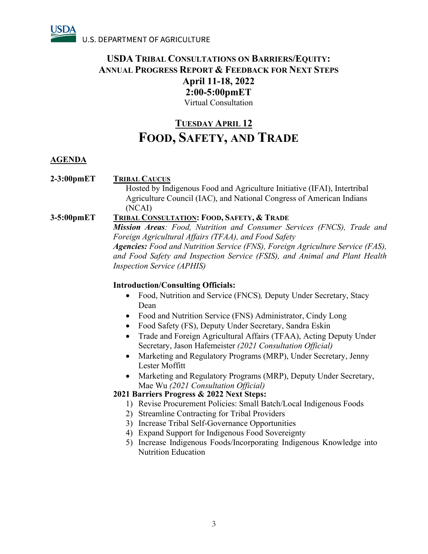# **TUESDAY APRIL 12 FOOD, SAFETY, AND TRADE**

## **AGENDA**

## **2-3:00pmET TRIBAL CAUCUS**

Hosted by Indigenous Food and Agriculture Initiative (IFAI), Intertribal Agriculture Council (IAC), and National Congress of American Indians (NCAI)

### **3-5:00pmET TRIBAL CONSULTATION: FOOD, SAFETY, & TRADE**

*Mission Areas: Food, Nutrition and Consumer Services (FNCS), Trade and Foreign Agricultural Affairs (TFAA), and Food Safety Agencies: Food and Nutrition Service (FNS), Foreign Agriculture Service (FAS), and Food Safety and Inspection Service (FSIS), and Animal and Plant Health Inspection Service (APHIS)*

### **Introduction/Consulting Officials:**

- Food, Nutrition and Service (FNCS)*,* Deputy Under Secretary, Stacy Dean
- Food and Nutrition Service (FNS) Administrator, Cindy Long
- Food Safety (FS), Deputy Under Secretary, Sandra Eskin
- Trade and Foreign Agricultural Affairs (TFAA), Acting Deputy Under Secretary, Jason Hafemeister *(2021 Consultation Official)*
- Marketing and Regulatory Programs (MRP), Under Secretary, Jenny Lester Moffitt
- Marketing and Regulatory Programs (MRP), Deputy Under Secretary, Mae Wu *(2021 Consultation Official)*

- 1) Revise Procurement Policies: Small Batch/Local Indigenous Foods
- 2) Streamline Contracting for Tribal Providers
- 3) Increase Tribal Self-Governance Opportunities
- 4) Expand Support for Indigenous Food Sovereignty
- 5) Increase Indigenous Foods/Incorporating Indigenous Knowledge into Nutrition Education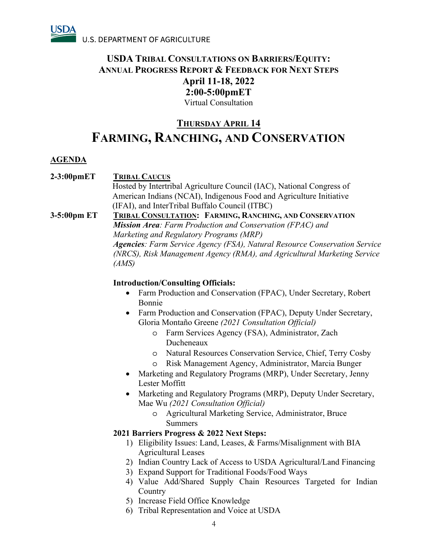

# **THURSDAY APRIL 14 FARMING, RANCHING, AND CONSERVATION**

### **AGENDA**

# **2-3:00pmET TRIBAL CAUCUS** Hosted by Intertribal Agriculture Council (IAC), National Congress of

American Indians (NCAI), Indigenous Food and Agriculture Initiative (IFAI), and InterTribal Buffalo Council (ITBC)

### **3-5:00pm ET TRIBAL CONSULTATION: FARMING, RANCHING, AND CONSERVATION** *Mission Area: Farm Production and Conservation (FPAC) and Marketing and Regulatory Programs (MRP) Agencies: Farm Service Agency (FSA), Natural Resource Conservation Service (NRCS), Risk Management Agency (RMA), and Agricultural Marketing Service (AMS)*

### **Introduction/Consulting Officials:**

- Farm Production and Conservation (FPAC), Under Secretary, Robert Bonnie
- Farm Production and Conservation (FPAC), Deputy Under Secretary, Gloria Montaño Greene *(2021 Consultation Official)*
	- o Farm Services Agency (FSA), Administrator, Zach Ducheneaux
	- o Natural Resources Conservation Service, Chief, Terry Cosby
	- o Risk Management Agency, Administrator, Marcia Bunger
- Marketing and Regulatory Programs (MRP), Under Secretary, Jenny Lester Moffitt
- Marketing and Regulatory Programs (MRP), Deputy Under Secretary, Mae Wu *(2021 Consultation Official)*
	- o Agricultural Marketing Service, Administrator, Bruce Summers

- 1) Eligibility Issues: Land, Leases, & Farms/Misalignment with BIA Agricultural Leases
- 2) Indian Country Lack of Access to USDA Agricultural/Land Financing
- 3) Expand Support for Traditional Foods/Food Ways
- 4) Value Add/Shared Supply Chain Resources Targeted for Indian **Country**
- 5) Increase Field Office Knowledge
- 6) Tribal Representation and Voice at USDA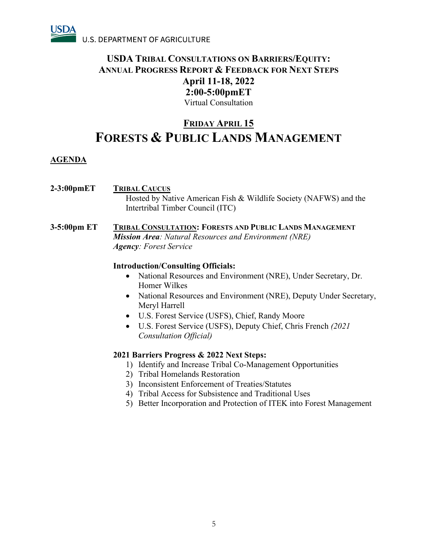

# **FRIDAY APRIL 15 FORESTS & PUBLIC LANDS MANAGEMENT**

## **AGENDA**

- **2-3:00pmET TRIBAL CAUCUS** Hosted by Native American Fish & Wildlife Society (NAFWS) and the Intertribal Timber Council (ITC)
- **3-5:00pm ET TRIBAL CONSULTATION: FORESTS AND PUBLIC LANDS MANAGEMENT** *Mission Area: Natural Resources and Environment (NRE) Agency: Forest Service*

### **Introduction/Consulting Officials:**

- National Resources and Environment (NRE), Under Secretary, Dr. Homer Wilkes
- National Resources and Environment (NRE), Deputy Under Secretary, Meryl Harrell
- U.S. Forest Service (USFS), Chief, Randy Moore
- U.S. Forest Service (USFS), Deputy Chief, Chris French *(2021 Consultation Official)*

- 1) Identify and Increase Tribal Co-Management Opportunities
- 2) Tribal Homelands Restoration
- 3) Inconsistent Enforcement of Treaties/Statutes
- 4) Tribal Access for Subsistence and Traditional Uses
- 5) Better Incorporation and Protection of ITEK into Forest Management